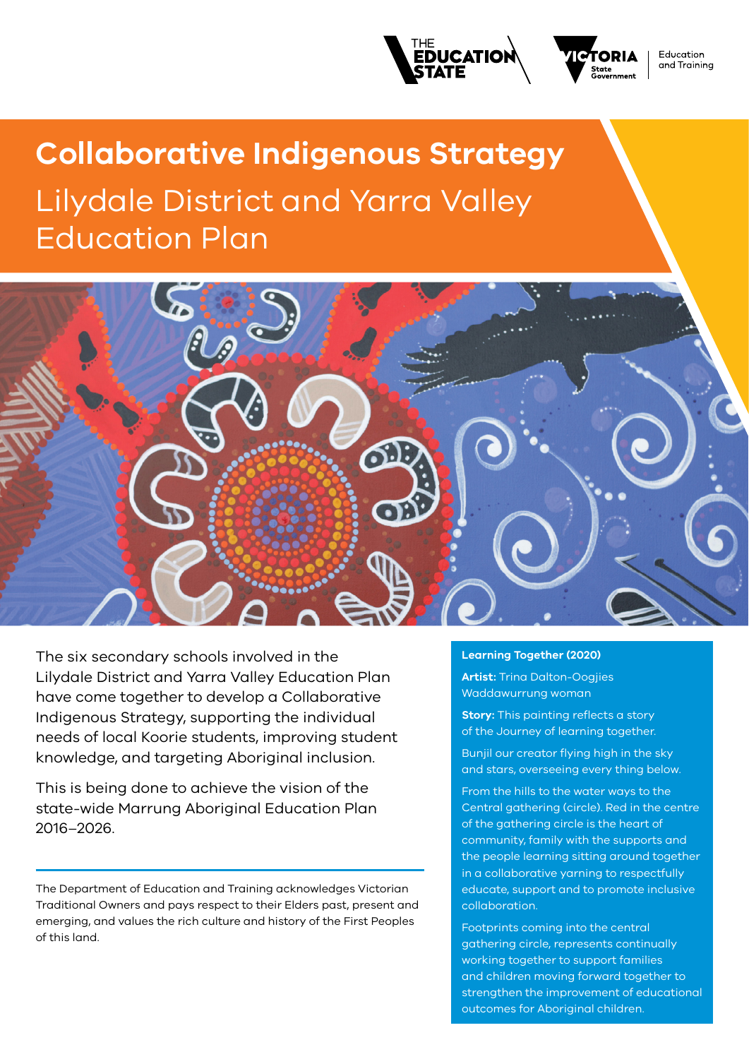



**Education** and Trainina

# **Collaborative Indigenous Strategy** Lilydale District and Yarra Valley Education Plan



The six secondary schools involved in the Lilydale District and Yarra Valley Education Plan have come together to develop a Collaborative Indigenous Strategy, supporting the individual needs of local Koorie students, improving student knowledge, and targeting Aboriginal inclusion.

This is being done to achieve the vision of the state-wide Marrung Aboriginal Education Plan 2016–2026.

The Department of Education and Training acknowledges Victorian Traditional Owners and pays respect to their Elders past, present and emerging, and values the rich culture and history of the First Peoples of this land.

#### **Learning Together (2020)**

**Artist:** Trina Dalton-Oogjies Waddawurrung woman

**Story:** This painting reflects a story of the Journey of learning together.

Bunjil our creator flying high in the sky and stars, overseeing every thing below.

From the hills to the water ways to the Central gathering (circle). Red in the centre of the gathering circle is the heart of community, family with the supports and the people learning sitting around together in a collaborative yarning to respectfully educate, support and to promote inclusive collaboration.

Footprints coming into the central gathering circle, represents continually working together to support families and children moving forward together to strengthen the improvement of educational outcomes for Aboriginal children.